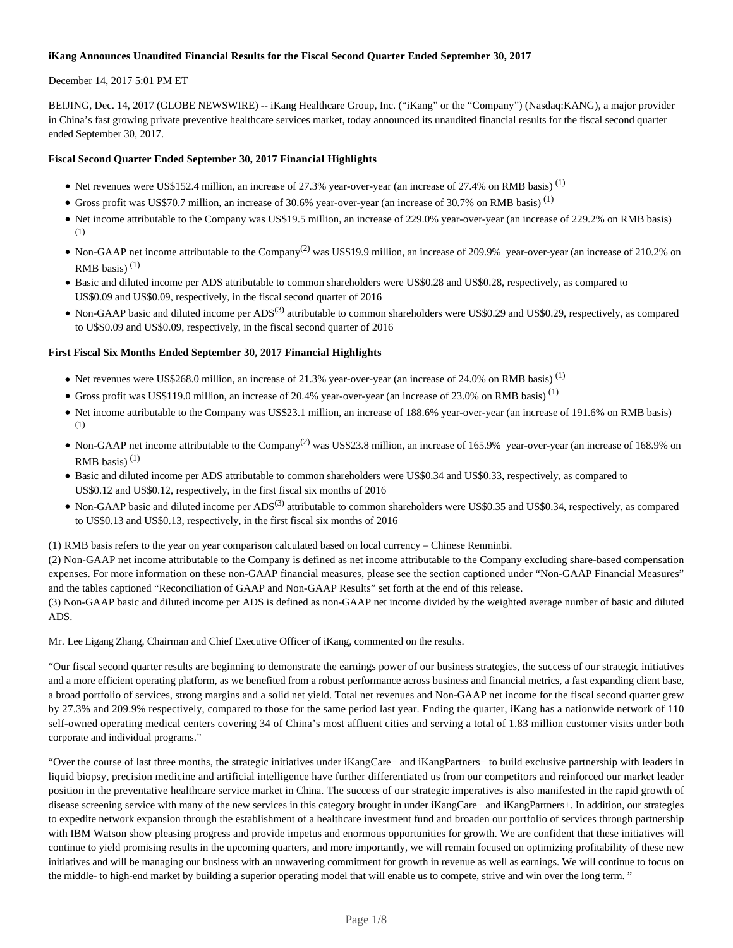# **iKang Announces Unaudited Financial Results for the Fiscal Second Quarter Ended September 30, 2017**

# December 14, 2017 5:01 PM ET

BEIJING, Dec. 14, 2017 (GLOBE NEWSWIRE) -- iKang Healthcare Group, Inc. ("iKang" or the "Company") (Nasdaq:KANG), a major provider in China's fast growing private preventive healthcare services market, today announced its unaudited financial results for the fiscal second quarter ended September 30, 2017.

# **Fiscal Second Quarter Ended September 30, 2017 Financial Highlights**

- $\bullet$  Net revenues were US\$152.4 million, an increase of 27.3% year-over-year (an increase of 27.4% on RMB basis)<sup>(1)</sup>
- Gross profit was US\$70.7 million, an increase of 30.6% year-over-year (an increase of 30.7% on RMB basis)<sup>(1)</sup>
- Net income attributable to the Company was US\$19.5 million, an increase of 229.0% year-over-year (an increase of 229.2% on RMB basis) (1)
- Non-GAAP net income attributable to the Company<sup>(2)</sup> was US\$19.9 million, an increase of 209.9% year-over-year (an increase of 210.2% on RMB basis) $(1)$
- Basic and diluted income per ADS attributable to common shareholders were US\$0.28 and US\$0.28, respectively, as compared to US\$0.09 and US\$0.09, respectively, in the fiscal second quarter of 2016
- Non-GAAP basic and diluted income per ADS<sup>(3)</sup> attributable to common shareholders were US\$0.29 and US\$0.29, respectively, as compared to U\$S0.09 and US\$0.09, respectively, in the fiscal second quarter of 2016

# **First Fiscal Six Months Ended September 30, 2017 Financial Highlights**

- Net revenues were US\$268.0 million, an increase of 21.3% year-over-year (an increase of 24.0% on RMB basis)<sup>(1)</sup>
- Gross profit was US\$119.0 million, an increase of 20.4% year-over-year (an increase of 23.0% on RMB basis)<sup>(1)</sup>
- Net income attributable to the Company was US\$23.1 million, an increase of 188.6% year-over-year (an increase of 191.6% on RMB basis) (1)
- Non-GAAP net income attributable to the Company<sup>(2)</sup> was US\$23.8 million, an increase of 165.9% year-over-year (an increase of 168.9% on RMB basis) $(1)$
- Basic and diluted income per ADS attributable to common shareholders were US\$0.34 and US\$0.33, respectively, as compared to US\$0.12 and US\$0.12, respectively, in the first fiscal six months of 2016
- Non-GAAP basic and diluted income per ADS<sup>(3)</sup> attributable to common shareholders were US\$0.35 and US\$0.34, respectively, as compared to US\$0.13 and US\$0.13, respectively, in the first fiscal six months of 2016

(1) RMB basis refers to the year on year comparison calculated based on local currency – Chinese Renminbi.

(2) Non-GAAP net income attributable to the Company is defined as net income attributable to the Company excluding share-based compensation expenses. For more information on these non-GAAP financial measures, please see the section captioned under "Non-GAAP Financial Measures" and the tables captioned "Reconciliation of GAAP and Non-GAAP Results" set forth at the end of this release.

(3) Non-GAAP basic and diluted income per ADS is defined as non-GAAP net income divided by the weighted average number of basic and diluted ADS.

Mr. Lee Ligang Zhang, Chairman and Chief Executive Officer of iKang, commented on the results.

"Our fiscal second quarter results are beginning to demonstrate the earnings power of our business strategies, the success of our strategic initiatives and a more efficient operating platform, as we benefited from a robust performance across business and financial metrics, a fast expanding client base, a broad portfolio of services, strong margins and a solid net yield. Total net revenues and Non-GAAP net income for the fiscal second quarter grew by 27.3% and 209.9% respectively, compared to those for the same period last year. Ending the quarter, iKang has a nationwide network of 110 self-owned operating medical centers covering 34 of China's most affluent cities and serving a total of 1.83 million customer visits under both corporate and individual programs."

"Over the course of last three months, the strategic initiatives under iKangCare+ and iKangPartners+ to build exclusive partnership with leaders in liquid biopsy, precision medicine and artificial intelligence have further differentiated us from our competitors and reinforced our market leader position in the preventative healthcare service market in China. The success of our strategic imperatives is also manifested in the rapid growth of disease screening service with many of the new services in this category brought in under iKangCare+ and iKangPartners+. In addition, our strategies to expedite network expansion through the establishment of a healthcare investment fund and broaden our portfolio of services through partnership with IBM Watson show pleasing progress and provide impetus and enormous opportunities for growth. We are confident that these initiatives will continue to yield promising results in the upcoming quarters, and more importantly, we will remain focused on optimizing profitability of these new initiatives and will be managing our business with an unwavering commitment for growth in revenue as well as earnings. We will continue to focus on the middle- to high-end market by building a superior operating model that will enable us to compete, strive and win over the long term. "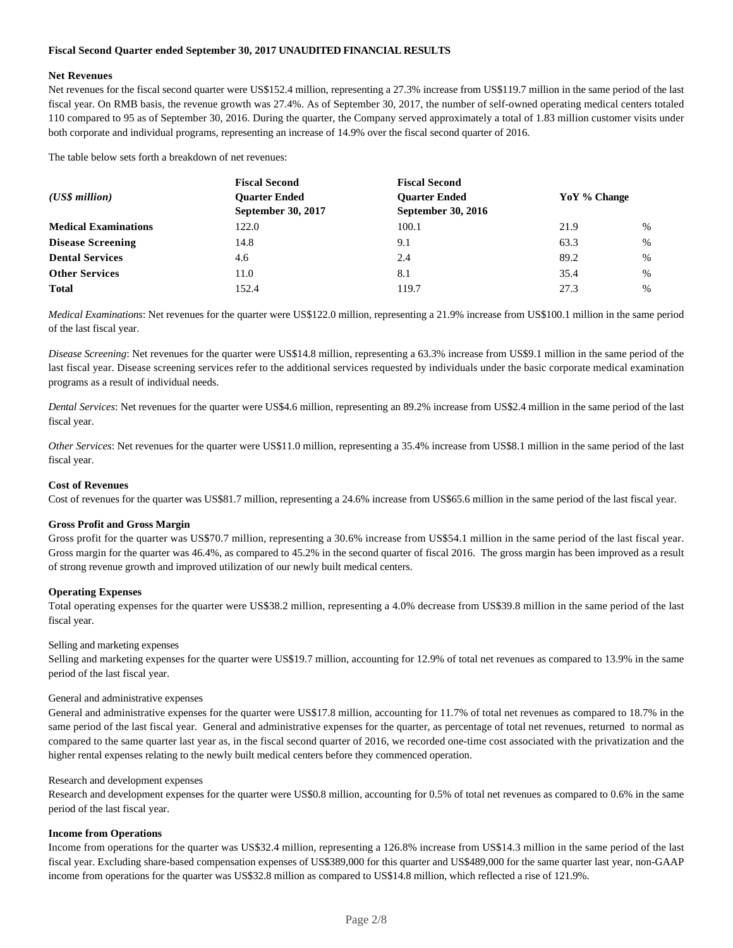### **Fiscal Second Quarter ended September 30, 2017 UNAUDITED FINANCIAL RESULTS**

#### **Net Revenues**

Net revenues for the fiscal second quarter were US\$152.4 million, representing a 27.3% increase from US\$119.7 million in the same period of the last fiscal year*.* On RMB basis, the revenue growth was 27.4%. As of September 30, 2017, the number of self-owned operating medical centers totaled 110 compared to 95 as of September 30, 2016. During the quarter, the Company served approximately a total of 1.83 million customer visits under both corporate and individual programs, representing an increase of 14.9% over the fiscal second quarter of 2016.

The table below sets forth a breakdown of net revenues:

|                             | <b>Fiscal Second</b> | <b>Fiscal Second</b>      |              |      |
|-----------------------------|----------------------|---------------------------|--------------|------|
| $(US\$ s million            | <b>Ouarter Ended</b> | <b>Ouarter Ended</b>      | YoY % Change |      |
|                             | September 30, 2017   | <b>September 30, 2016</b> |              |      |
| <b>Medical Examinations</b> | 122.0                | 100.1                     | 21.9         | $\%$ |
| <b>Disease Screening</b>    | 14.8                 | 9.1                       | 63.3         | $\%$ |
| <b>Dental Services</b>      | 4.6                  | 2.4                       | 89.2         | $\%$ |
| <b>Other Services</b>       | 11.0                 | 8.1                       | 35.4         | %    |
| <b>Total</b>                | 152.4                | 119.7                     | 27.3         | $\%$ |

*Medical Examinations*: Net revenues for the quarter were US\$122.0 million, representing a 21.9% increase from US\$100.1 million in the same period of the last fiscal year.

*Disease Screening*: Net revenues for the quarter were US\$14.8 million, representing a 63.3% increase from US\$9.1 million in the same period of the last fiscal year. Disease screening services refer to the additional services requested by individuals under the basic corporate medical examination programs as a result of individual needs.

*Dental Services*: Net revenues for the quarter were US\$4.6 million, representing an 89.2% increase from US\$2.4 million in the same period of the last fiscal year.

*Other Services*: Net revenues for the quarter were US\$11.0 million, representing a 35.4% increase from US\$8.1 million in the same period of the last fiscal year.

# **Cost of Revenues**

Cost of revenues for the quarter was US\$81.7 million, representing a 24.6% increase from US\$65.6 million in the same period of the last fiscal year.

#### **Gross Profit and Gross Margin**

Gross profit for the quarter was US\$70.7 million, representing a 30.6% increase from US\$54.1 million in the same period of the last fiscal year. Gross margin for the quarter was 46.4%, as compared to 45.2% in the second quarter of fiscal 2016. The gross margin has been improved as a result of strong revenue growth and improved utilization of our newly built medical centers.

#### **Operating Expenses**

Total operating expenses for the quarter were US\$38.2 million, representing a 4.0% decrease from US\$39.8 million in the same period of the last fiscal year.

# Selling and marketing expenses

Selling and marketing expenses for the quarter were US\$19.7 million, accounting for 12.9% of total net revenues as compared to 13.9% in the same period of the last fiscal year.

#### General and administrative expenses

General and administrative expenses for the quarter were US\$17.8 million, accounting for 11.7% of total net revenues as compared to 18.7% in the same period of the last fiscal year. General and administrative expenses for the quarter, as percentage of total net revenues, returned to normal as compared to the same quarter last year as, in the fiscal second quarter of 2016, we recorded one-time cost associated with the privatization and the higher rental expenses relating to the newly built medical centers before they commenced operation.

#### Research and development expenses

Research and development expenses for the quarter were US\$0.8 million, accounting for 0.5% of total net revenues as compared to 0.6% in the same period of the last fiscal year.

#### **Income from Operations**

Income from operations for the quarter was US\$32.4 million, representing a 126.8% increase from US\$14.3 million in the same period of the last fiscal year. Excluding share-based compensation expenses of US\$389,000 for this quarter and US\$489,000 for the same quarter last year, non-GAAP income from operations for the quarter was US\$32.8 million as compared to US\$14.8 million, which reflected a rise of 121.9%.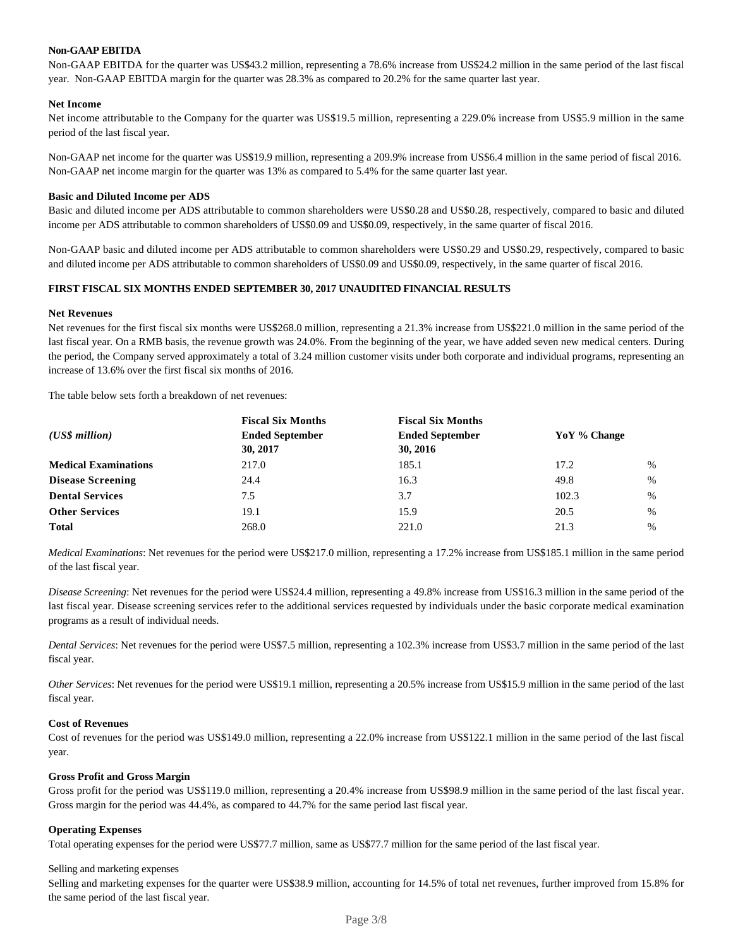### **Non-GAAP EBITDA**

Non-GAAP EBITDA for the quarter was US\$43.2 million, representing a 78.6% increase from US\$24.2 million in the same period of the last fiscal year. Non-GAAP EBITDA margin for the quarter was 28.3% as compared to 20.2% for the same quarter last year.

#### **Net Income**

Net income attributable to the Company for the quarter was US\$19.5 million, representing a 229.0% increase from US\$5.9 million in the same period of the last fiscal year.

Non-GAAP net income for the quarter was US\$19.9 million, representing a 209.9% increase from US\$6.4 million in the same period of fiscal 2016. Non-GAAP net income margin for the quarter was 13% as compared to 5.4% for the same quarter last year.

#### **Basic and Diluted Income per ADS**

Basic and diluted income per ADS attributable to common shareholders were US\$0.28 and US\$0.28, respectively, compared to basic and diluted income per ADS attributable to common shareholders of US\$0.09 and US\$0.09, respectively, in the same quarter of fiscal 2016.

Non-GAAP basic and diluted income per ADS attributable to common shareholders were US\$0.29 and US\$0.29, respectively, compared to basic and diluted income per ADS attributable to common shareholders of US\$0.09 and US\$0.09, respectively, in the same quarter of fiscal 2016.

#### **FIRST FISCAL SIX MONTHS ENDED SEPTEMBER 30, 2017 UNAUDITED FINANCIAL RESULTS**

#### **Net Revenues**

Net revenues for the first fiscal six months were US\$268.0 million, representing a 21.3% increase from US\$221.0 million in the same period of the last fiscal year. On a RMB basis, the revenue growth was 24.0%. From the beginning of the year, we have added seven new medical centers. During the period, the Company served approximately a total of 3.24 million customer visits under both corporate and individual programs, representing an increase of 13.6% over the first fiscal six months of 2016.

The table below sets forth a breakdown of net revenues:

|                             | <b>Fiscal Six Months</b>           | <b>Fiscal Six Months</b>           |              |      |
|-----------------------------|------------------------------------|------------------------------------|--------------|------|
| $(US\$ s million            | <b>Ended September</b><br>30, 2017 | <b>Ended September</b><br>30, 2016 | YoY % Change |      |
| <b>Medical Examinations</b> | 217.0                              | 185.1                              | 17.2         | $\%$ |
| <b>Disease Screening</b>    | 24.4                               | 16.3                               | 49.8         | %    |
| <b>Dental Services</b>      | 7.5                                | 3.7                                | 102.3        | %    |
| <b>Other Services</b>       | 19.1                               | 15.9                               | 20.5         | %    |
| <b>Total</b>                | 268.0                              | 221.0                              | 21.3         | %    |

*Medical Examinations*: Net revenues for the period were US\$217.0 million, representing a 17.2% increase from US\$185.1 million in the same period of the last fiscal year.

*Disease Screening*: Net revenues for the period were US\$24.4 million, representing a 49.8% increase from US\$16.3 million in the same period of the last fiscal year. Disease screening services refer to the additional services requested by individuals under the basic corporate medical examination programs as a result of individual needs.

*Dental Services*: Net revenues for the period were US\$7.5 million, representing a 102.3% increase from US\$3.7 million in the same period of the last fiscal year.

*Other Services*: Net revenues for the period were US\$19.1 million, representing a 20.5% increase from US\$15.9 million in the same period of the last fiscal year.

#### **Cost of Revenues**

Cost of revenues for the period was US\$149.0 million, representing a 22.0% increase from US\$122.1 million in the same period of the last fiscal year.

#### **Gross Profit and Gross Margin**

Gross profit for the period was US\$119.0 million, representing a 20.4% increase from US\$98.9 million in the same period of the last fiscal year. Gross margin for the period was 44.4%, as compared to 44.7% for the same period last fiscal year.

#### **Operating Expenses**

Total operating expenses for the period were US\$77.7 million, same as US\$77.7 million for the same period of the last fiscal year.

#### Selling and marketing expenses

Selling and marketing expenses for the quarter were US\$38.9 million, accounting for 14.5% of total net revenues, further improved from 15.8% for the same period of the last fiscal year.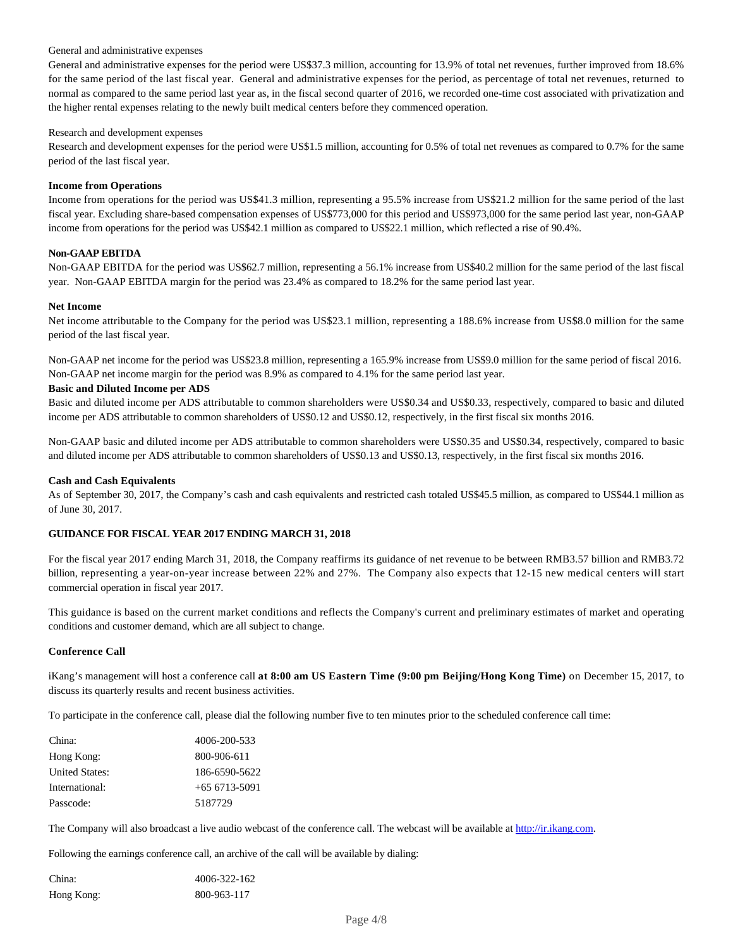#### General and administrative expenses

General and administrative expenses for the period were US\$37.3 million, accounting for 13.9% of total net revenues, further improved from 18.6% for the same period of the last fiscal year. General and administrative expenses for the period, as percentage of total net revenues, returned to normal as compared to the same period last year as, in the fiscal second quarter of 2016, we recorded one-time cost associated with privatization and the higher rental expenses relating to the newly built medical centers before they commenced operation.

#### Research and development expenses

Research and development expenses for the period were US\$1.5 million, accounting for 0.5% of total net revenues as compared to 0.7% for the same period of the last fiscal year.

### **Income from Operations**

Income from operations for the period was US\$41.3 million, representing a 95.5% increase from US\$21.2 million for the same period of the last fiscal year. Excluding share-based compensation expenses of US\$773,000 for this period and US\$973,000 for the same period last year, non-GAAP income from operations for the period was US\$42.1 million as compared to US\$22.1 million, which reflected a rise of 90.4%.

#### **Non-GAAP EBITDA**

Non-GAAP EBITDA for the period was US\$62.7 million, representing a 56.1% increase from US\$40.2 million for the same period of the last fiscal year. Non-GAAP EBITDA margin for the period was 23.4% as compared to 18.2% for the same period last year.

#### **Net Income**

Net income attributable to the Company for the period was US\$23.1 million, representing a 188.6% increase from US\$8.0 million for the same period of the last fiscal year.

Non-GAAP net income for the period was US\$23.8 million, representing a 165.9% increase from US\$9.0 million for the same period of fiscal 2016. Non-GAAP net income margin for the period was 8.9% as compared to 4.1% for the same period last year.

#### **Basic and Diluted Income per ADS**

Basic and diluted income per ADS attributable to common shareholders were US\$0.34 and US\$0.33, respectively, compared to basic and diluted income per ADS attributable to common shareholders of US\$0.12 and US\$0.12, respectively, in the first fiscal six months 2016.

Non-GAAP basic and diluted income per ADS attributable to common shareholders were US\$0.35 and US\$0.34, respectively, compared to basic and diluted income per ADS attributable to common shareholders of US\$0.13 and US\$0.13, respectively, in the first fiscal six months 2016.

## **Cash and Cash Equivalents**

As of September 30, 2017, the Company's cash and cash equivalents and restricted cash totaled US\$45.5 million, as compared to US\$44.1 million as of June 30, 2017.

## **GUIDANCE FOR FISCAL YEAR 2017 ENDING MARCH 31, 2018**

For the fiscal year 2017 ending March 31, 2018, the Company reaffirms its guidance of net revenue to be between RMB3.57 billion and RMB3.72 billion, representing a year-on-year increase between 22% and 27%. The Company also expects that 12-15 new medical centers will start commercial operation in fiscal year 2017.

This guidance is based on the current market conditions and reflects the Company's current and preliminary estimates of market and operating conditions and customer demand, which are all subject to change.

## **Conference Call**

iKang's management will host a conference call **at 8:00 am US Eastern Time (9:00 pm Beijing/Hong Kong Time)** on December 15, 2017, to discuss its quarterly results and recent business activities.

To participate in the conference call, please dial the following number five to ten minutes prior to the scheduled conference call time:

| China:         | 4006-200-533   |
|----------------|----------------|
| Hong Kong:     | 800-906-611    |
| United States: | 186-6590-5622  |
| International: | $+656713-5091$ |
| Passcode:      | 5187729        |

The Company will also broadcast a live audio webcast of the conference call. The webcast will be available at http://ir.ikang.com.

Following the earnings conference call, an archive of the call will be available by dialing:

| China:     | 4006-322-162 |
|------------|--------------|
| Hong Kong: | 800-963-117  |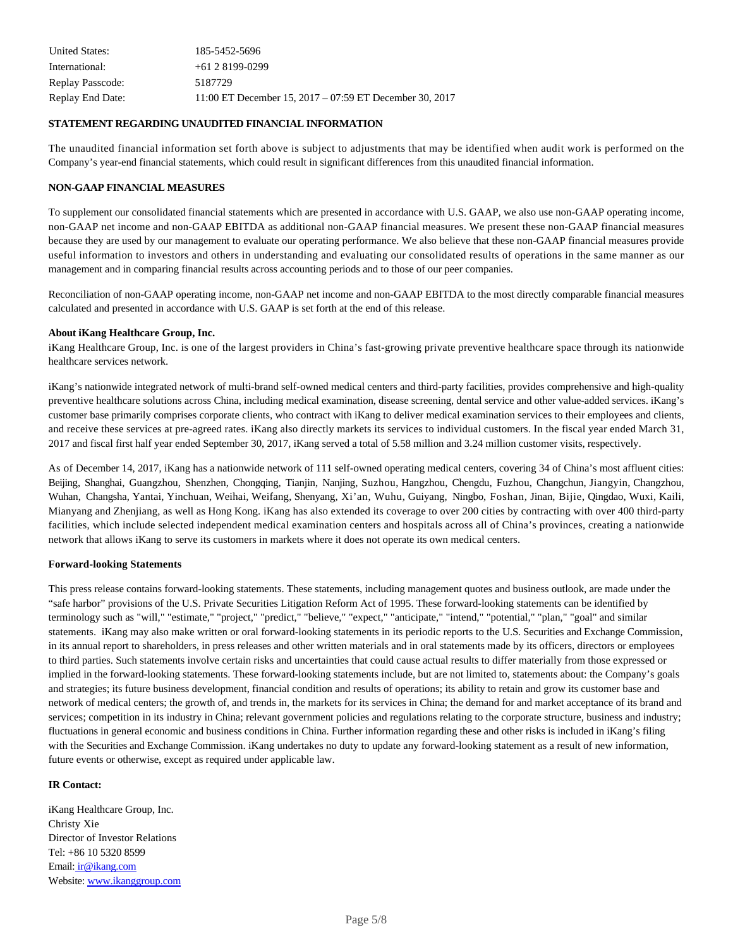| United States:   | 185-5452-5696                                             |
|------------------|-----------------------------------------------------------|
| International:   | $+6128199-0299$                                           |
| Replay Passcode: | 5187729                                                   |
| Replay End Date: | 11:00 ET December 15, $2017 - 07:59$ ET December 30, 2017 |

#### **STATEMENT REGARDING UNAUDITED FINANCIAL INFORMATION**

The unaudited financial information set forth above is subject to adjustments that may be identified when audit work is performed on the Company's year-end financial statements, which could result in significant differences from this unaudited financial information.

#### **NON-GAAP FINANCIAL MEASURES**

To supplement our consolidated financial statements which are presented in accordance with U.S. GAAP, we also use non-GAAP operating income, non-GAAP net income and non-GAAP EBITDA as additional non-GAAP financial measures. We present these non-GAAP financial measures because they are used by our management to evaluate our operating performance. We also believe that these non-GAAP financial measures provide useful information to investors and others in understanding and evaluating our consolidated results of operations in the same manner as our management and in comparing financial results across accounting periods and to those of our peer companies.

Reconciliation of non-GAAP operating income, non-GAAP net income and non-GAAP EBITDA to the most directly comparable financial measures calculated and presented in accordance with U.S. GAAP is set forth at the end of this release.

#### **About iKang Healthcare Group, Inc.**

iKang Healthcare Group, Inc. is one of the largest providers in China's fast-growing private preventive healthcare space through its nationwide healthcare services network.

iKang's nationwide integrated network of multi-brand self-owned medical centers and third-party facilities, provides comprehensive and high-quality preventive healthcare solutions across China, including medical examination, disease screening, dental service and other value-added services. iKang's customer base primarily comprises corporate clients, who contract with iKang to deliver medical examination services to their employees and clients, and receive these services at pre-agreed rates. iKang also directly markets its services to individual customers. In the fiscal year ended March 31, 2017 and fiscal first half year ended September 30, 2017, iKang served a total of 5.58 million and 3.24 million customer visits, respectively.

As of December 14, 2017, iKang has a nationwide network of 111 self-owned operating medical centers, covering 34 of China's most affluent cities: Beijing, Shanghai, Guangzhou, Shenzhen, Chongqing, Tianjin, Nanjing, Suzhou, Hangzhou, Chengdu, Fuzhou, Changchun, Jiangyin, Changzhou, Wuhan, Changsha, Yantai, Yinchuan, Weihai, Weifang, Shenyang, Xi'an, Wuhu, Guiyang, Ningbo, Foshan, Jinan, Bijie, Qingdao, Wuxi, Kaili, Mianyang and Zhenjiang, as well as Hong Kong. iKang has also extended its coverage to over 200 cities by contracting with over 400 third-party facilities, which include selected independent medical examination centers and hospitals across all of China's provinces, creating a nationwide network that allows iKang to serve its customers in markets where it does not operate its own medical centers.

## **Forward-looking Statements**

This press release contains forward-looking statements. These statements, including management quotes and business outlook, are made under the "safe harbor" provisions of the U.S. Private Securities Litigation Reform Act of 1995. These forward-looking statements can be identified by terminology such as "will," "estimate," "project," "predict," "believe," "expect," "anticipate," "intend," "potential," "plan," "goal" and similar statements. iKang may also make written or oral forward-looking statements in its periodic reports to the U.S. Securities and Exchange Commission, in its annual report to shareholders, in press releases and other written materials and in oral statements made by its officers, directors or employees to third parties. Such statements involve certain risks and uncertainties that could cause actual results to differ materially from those expressed or implied in the forward-looking statements. These forward-looking statements include, but are not limited to, statements about: the Company's goals and strategies; its future business development, financial condition and results of operations; its ability to retain and grow its customer base and network of medical centers; the growth of, and trends in, the markets for its services in China; the demand for and market acceptance of its brand and services; competition in its industry in China; relevant government policies and regulations relating to the corporate structure, business and industry; fluctuations in general economic and business conditions in China. Further information regarding these and other risks is included in iKang's filing with the Securities and Exchange Commission. iKang undertakes no duty to update any forward-looking statement as a result of new information, future events or otherwise, except as required under applicable law.

## **IR Contact:**

iKang Healthcare Group, Inc. Christy Xie Director of Investor Relations Tel: +86 10 5320 8599 Email: ir@ikang.com Website: www.ikanggroup.com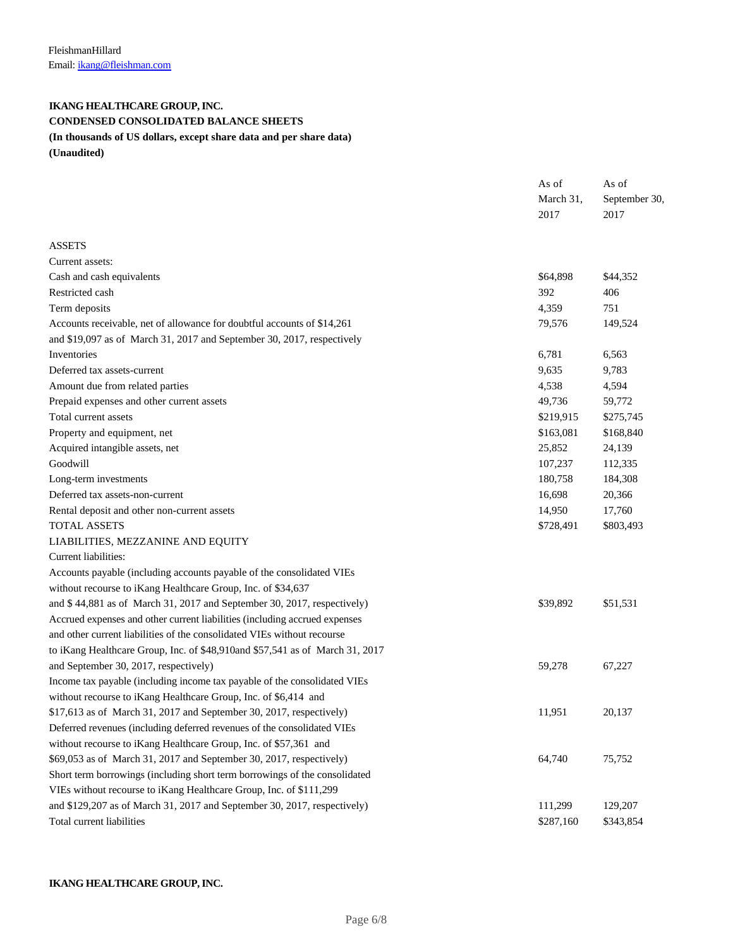# **IKANG HEALTHCARE GROUP, INC. CONDENSED CONSOLIDATED BALANCE SHEETS**

# **(In thousands of US dollars, except share data and per share data)**

**(Unaudited)**

| March 31,<br>September 30,<br>2017<br>2017<br><b>ASSETS</b><br>Current assets:<br>\$64,898<br>Cash and cash equivalents<br>\$44,352<br>Restricted cash<br>392<br>406<br>751<br>Term deposits<br>4,359<br>Accounts receivable, net of allowance for doubtful accounts of \$14,261<br>79,576<br>149,524<br>and \$19,097 as of March 31, 2017 and September 30, 2017, respectively<br>Inventories<br>6,781<br>6,563<br>Deferred tax assets-current<br>9,635<br>9,783<br>Amount due from related parties<br>4,538<br>4,594<br>Prepaid expenses and other current assets<br>49,736<br>59,772<br>Total current assets<br>\$219,915<br>\$275,745 |
|-------------------------------------------------------------------------------------------------------------------------------------------------------------------------------------------------------------------------------------------------------------------------------------------------------------------------------------------------------------------------------------------------------------------------------------------------------------------------------------------------------------------------------------------------------------------------------------------------------------------------------------------|
|                                                                                                                                                                                                                                                                                                                                                                                                                                                                                                                                                                                                                                           |
|                                                                                                                                                                                                                                                                                                                                                                                                                                                                                                                                                                                                                                           |
|                                                                                                                                                                                                                                                                                                                                                                                                                                                                                                                                                                                                                                           |
|                                                                                                                                                                                                                                                                                                                                                                                                                                                                                                                                                                                                                                           |
|                                                                                                                                                                                                                                                                                                                                                                                                                                                                                                                                                                                                                                           |
|                                                                                                                                                                                                                                                                                                                                                                                                                                                                                                                                                                                                                                           |
|                                                                                                                                                                                                                                                                                                                                                                                                                                                                                                                                                                                                                                           |
|                                                                                                                                                                                                                                                                                                                                                                                                                                                                                                                                                                                                                                           |
|                                                                                                                                                                                                                                                                                                                                                                                                                                                                                                                                                                                                                                           |
|                                                                                                                                                                                                                                                                                                                                                                                                                                                                                                                                                                                                                                           |
|                                                                                                                                                                                                                                                                                                                                                                                                                                                                                                                                                                                                                                           |
|                                                                                                                                                                                                                                                                                                                                                                                                                                                                                                                                                                                                                                           |
|                                                                                                                                                                                                                                                                                                                                                                                                                                                                                                                                                                                                                                           |
|                                                                                                                                                                                                                                                                                                                                                                                                                                                                                                                                                                                                                                           |
|                                                                                                                                                                                                                                                                                                                                                                                                                                                                                                                                                                                                                                           |
| Property and equipment, net<br>\$163,081<br>\$168,840                                                                                                                                                                                                                                                                                                                                                                                                                                                                                                                                                                                     |
| Acquired intangible assets, net<br>25,852<br>24,139                                                                                                                                                                                                                                                                                                                                                                                                                                                                                                                                                                                       |
| Goodwill<br>107,237<br>112,335                                                                                                                                                                                                                                                                                                                                                                                                                                                                                                                                                                                                            |
| Long-term investments<br>180,758<br>184,308                                                                                                                                                                                                                                                                                                                                                                                                                                                                                                                                                                                               |
| Deferred tax assets-non-current<br>16,698<br>20,366                                                                                                                                                                                                                                                                                                                                                                                                                                                                                                                                                                                       |
| 14,950<br>Rental deposit and other non-current assets<br>17,760                                                                                                                                                                                                                                                                                                                                                                                                                                                                                                                                                                           |
| <b>TOTAL ASSETS</b><br>\$728,491<br>\$803,493                                                                                                                                                                                                                                                                                                                                                                                                                                                                                                                                                                                             |
| LIABILITIES, MEZZANINE AND EQUITY                                                                                                                                                                                                                                                                                                                                                                                                                                                                                                                                                                                                         |
| Current liabilities:                                                                                                                                                                                                                                                                                                                                                                                                                                                                                                                                                                                                                      |
| Accounts payable (including accounts payable of the consolidated VIEs                                                                                                                                                                                                                                                                                                                                                                                                                                                                                                                                                                     |
| without recourse to iKang Healthcare Group, Inc. of \$34,637                                                                                                                                                                                                                                                                                                                                                                                                                                                                                                                                                                              |
| and \$44,881 as of March 31, 2017 and September 30, 2017, respectively)<br>\$39,892<br>\$51,531                                                                                                                                                                                                                                                                                                                                                                                                                                                                                                                                           |
| Accrued expenses and other current liabilities (including accrued expenses                                                                                                                                                                                                                                                                                                                                                                                                                                                                                                                                                                |
| and other current liabilities of the consolidated VIEs without recourse                                                                                                                                                                                                                                                                                                                                                                                                                                                                                                                                                                   |
| to iKang Healthcare Group, Inc. of \$48,910and \$57,541 as of March 31, 2017                                                                                                                                                                                                                                                                                                                                                                                                                                                                                                                                                              |
| and September 30, 2017, respectively)<br>59,278<br>67,227                                                                                                                                                                                                                                                                                                                                                                                                                                                                                                                                                                                 |
| Income tax payable (including income tax payable of the consolidated VIEs                                                                                                                                                                                                                                                                                                                                                                                                                                                                                                                                                                 |
| without recourse to iKang Healthcare Group, Inc. of \$6,414 and                                                                                                                                                                                                                                                                                                                                                                                                                                                                                                                                                                           |
| $$17,613$ as of March 31, 2017 and September 30, 2017, respectively)<br>11,951<br>20,137                                                                                                                                                                                                                                                                                                                                                                                                                                                                                                                                                  |
| Deferred revenues (including deferred revenues of the consolidated VIEs                                                                                                                                                                                                                                                                                                                                                                                                                                                                                                                                                                   |
| without recourse to iKang Healthcare Group, Inc. of \$57,361 and                                                                                                                                                                                                                                                                                                                                                                                                                                                                                                                                                                          |
| \$69,053 as of March 31, 2017 and September 30, 2017, respectively)<br>64,740<br>75,752                                                                                                                                                                                                                                                                                                                                                                                                                                                                                                                                                   |
| Short term borrowings (including short term borrowings of the consolidated                                                                                                                                                                                                                                                                                                                                                                                                                                                                                                                                                                |
| VIEs without recourse to iKang Healthcare Group, Inc. of \$111,299                                                                                                                                                                                                                                                                                                                                                                                                                                                                                                                                                                        |
| and \$129,207 as of March 31, 2017 and September 30, 2017, respectively)<br>111,299<br>129,207                                                                                                                                                                                                                                                                                                                                                                                                                                                                                                                                            |
| Total current liabilities<br>\$287,160<br>\$343,854                                                                                                                                                                                                                                                                                                                                                                                                                                                                                                                                                                                       |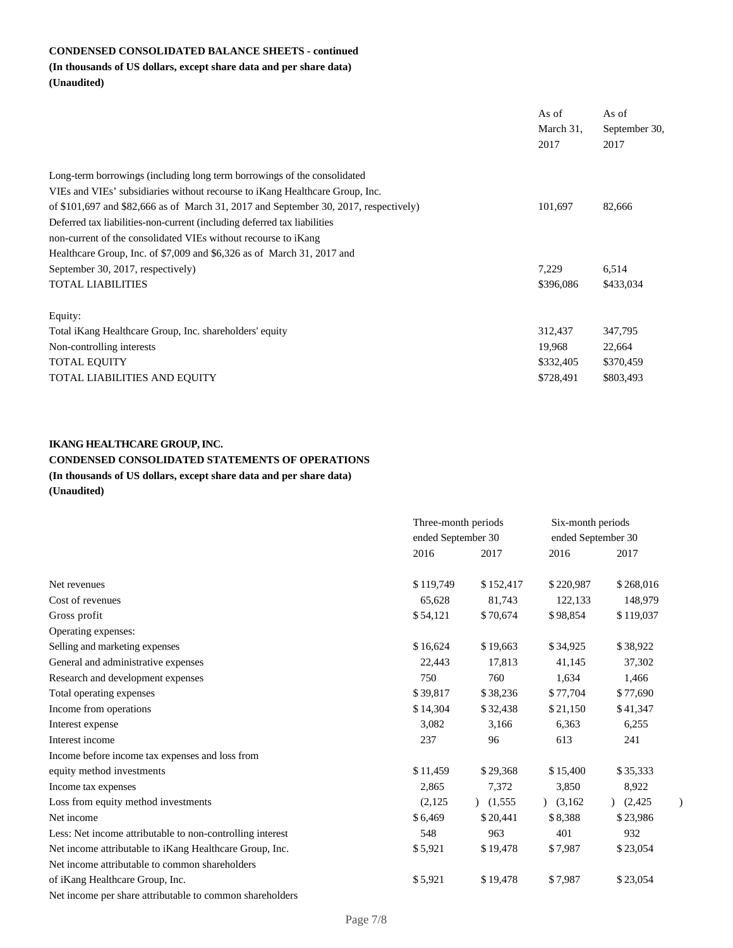# **CONDENSED CONSOLIDATED BALANCE SHEETS - continued**

# **(In thousands of US dollars, except share data and per share data) (Unaudited)**

|                                                                                      | As of<br>March 31,<br>2017 | As of<br>September 30,<br>2017 |
|--------------------------------------------------------------------------------------|----------------------------|--------------------------------|
| Long-term borrowings (including long term borrowings of the consolidated             |                            |                                |
| VIEs and VIEs' subsidiaries without recourse to iKang Healthcare Group, Inc.         |                            |                                |
| of \$101,697 and \$82,666 as of March 31, 2017 and September 30, 2017, respectively) | 101,697                    | 82,666                         |
| Deferred tax liabilities-non-current (including deferred tax liabilities             |                            |                                |
| non-current of the consolidated VIEs without recourse to iKang                       |                            |                                |
| Healthcare Group, Inc. of \$7,009 and \$6,326 as of March 31, 2017 and               |                            |                                |
| September 30, 2017, respectively)                                                    | 7,229                      | 6,514                          |
| <b>TOTAL LIABILITIES</b>                                                             | \$396,086                  | \$433,034                      |
| Equity:                                                                              |                            |                                |
| Total iKang Healthcare Group, Inc. shareholders' equity                              | 312,437                    | 347,795                        |
| Non-controlling interests                                                            | 19,968                     | 22,664                         |
| <b>TOTAL EQUITY</b>                                                                  | \$332,405                  | \$370,459                      |
| TOTAL LIABILITIES AND EQUITY                                                         | \$728,491                  | \$803,493                      |

# **IKANG HEALTHCARE GROUP, INC.**

# **CONDENSED CONSOLIDATED STATEMENTS OF OPERATIONS**

**(In thousands of US dollars, except share data and per share data)**

**(Unaudited)**

|                                                           | Three-month periods |           | Six-month periods  |           |               |
|-----------------------------------------------------------|---------------------|-----------|--------------------|-----------|---------------|
|                                                           | ended September 30  |           | ended September 30 |           |               |
|                                                           | 2016                | 2017      | 2016               | 2017      |               |
| Net revenues                                              | \$119,749           | \$152,417 | \$220,987          | \$268,016 |               |
| Cost of revenues                                          | 65,628              | 81,743    | 122,133            | 148,979   |               |
| Gross profit                                              | \$54,121            | \$70,674  | \$98,854           | \$119,037 |               |
| Operating expenses:                                       |                     |           |                    |           |               |
| Selling and marketing expenses                            | \$16,624            | \$19,663  | \$34,925           | \$38,922  |               |
| General and administrative expenses                       | 22,443              | 17,813    | 41,145             | 37,302    |               |
| Research and development expenses                         | 750                 | 760       | 1,634              | 1,466     |               |
| Total operating expenses                                  | \$39,817            | \$38,236  | \$77,704           | \$77,690  |               |
| Income from operations                                    | \$14,304            | \$32,438  | \$21,150           | \$41,347  |               |
| Interest expense                                          | 3,082               | 3,166     | 6,363              | 6,255     |               |
| Interest income                                           | 237                 | 96        | 613                | 241       |               |
| Income before income tax expenses and loss from           |                     |           |                    |           |               |
| equity method investments                                 | \$11,459            | \$29,368  | \$15,400           | \$35,333  |               |
| Income tax expenses                                       | 2,865               | 7,372     | 3,850              | 8,922     |               |
| Loss from equity method investments                       | (2,125)             | (1,555)   | (3,162)            | (2, 425)  | $\mathcal{E}$ |
| Net income                                                | \$6,469             | \$20,441  | \$8,388            | \$23,986  |               |
| Less: Net income attributable to non-controlling interest | 548                 | 963       | 401                | 932       |               |
| Net income attributable to iKang Healthcare Group, Inc.   | \$5,921             | \$19,478  | \$7,987            | \$23,054  |               |
| Net income attributable to common shareholders            |                     |           |                    |           |               |
| of iKang Healthcare Group, Inc.                           | \$5,921             | \$19,478  | \$7,987            | \$23,054  |               |
| Net income per share attributable to common shareholders  |                     |           |                    |           |               |